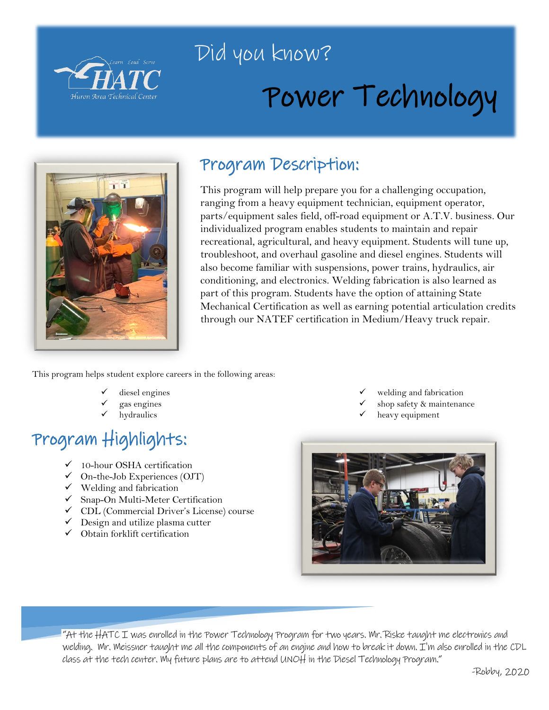

## Did you know?

# Power Technology



## Program Description:

This program will help prepare you for a challenging occupation, ranging from a heavy equipment technician, equipment operator, parts/equipment sales field, off-road equipment or A.T.V. business. Our individualized program enables students to maintain and repair recreational, agricultural, and heavy equipment. Students will tune up, troubleshoot, and overhaul gasoline and diesel engines. Students will also become familiar with suspensions, power trains, hydraulics, air conditioning, and electronics. Welding fabrication is also learned as part of this program. Students have the option of attaining State Mechanical Certification as well as earning potential articulation credits through our NATEF certification in Medium/Heavy truck repair.

This program helps student explore careers in the following areas:

- diesel engines
- gas engines
- hydraulics

## Program Highlights:

- $\checkmark$  10-hour OSHA certification
- $\checkmark$  On-the-Job Experiences (OJT)
- $\checkmark$  Welding and fabrication
- $\checkmark$  Snap-On Multi-Meter Certification
- CDL (Commercial Driver's License) course
- $\checkmark$  Design and utilize plasma cutter
- $\checkmark$  Obtain forklift certification
- welding and fabrication
- shop safety & maintenance
- heavy equipment



"At the HATC I was enrolled in the Power Technology Program for two years. Mr. Riske taught me electronics and welding. Mr. Meissner taught me all the components of an engine and how to break it down. I'm also enrolled in the CDL class at the tech center. My future plans are to attend UNOH in the Diesel Technology Program."